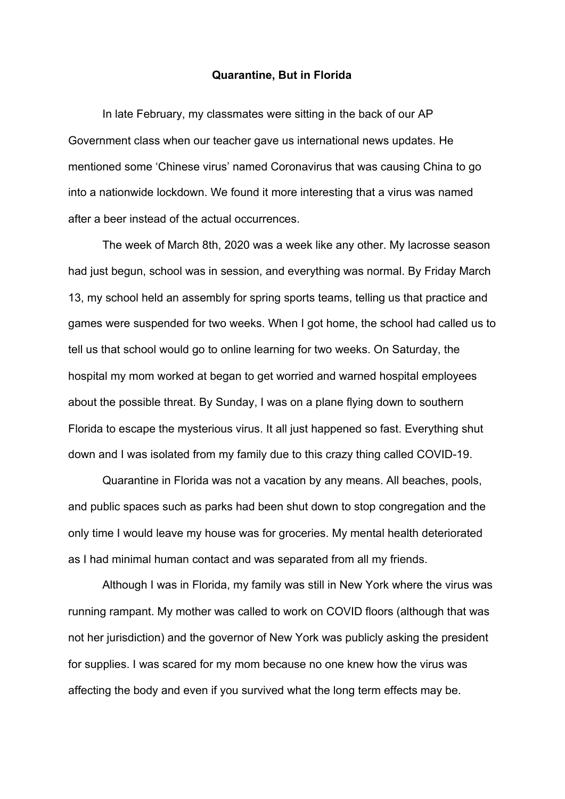## **Quarantine, But in Florida**

In late February, my classmates were sitting in the back of our AP Government class when our teacher gave us international news updates. He mentioned some 'Chinese virus' named Coronavirus that was causing China to go into a nationwide lockdown. We found it more interesting that a virus was named after a beer instead of the actual occurrences.

The week of March 8th, 2020 was a week like any other. My lacrosse season had just begun, school was in session, and everything was normal. By Friday March 13, my school held an assembly for spring sports teams, telling us that practice and games were suspended for two weeks. When I got home, the school had called us to tell us that school would go to online learning for two weeks. On Saturday, the hospital my mom worked at began to get worried and warned hospital employees about the possible threat. By Sunday, I was on a plane flying down to southern Florida to escape the mysterious virus. It all just happened so fast. Everything shut down and I was isolated from my family due to this crazy thing called COVID-19.

Quarantine in Florida was not a vacation by any means. All beaches, pools, and public spaces such as parks had been shut down to stop congregation and the only time I would leave my house was for groceries. My mental health deteriorated as I had minimal human contact and was separated from all my friends.

Although I was in Florida, my family was still in New York where the virus was running rampant. My mother was called to work on COVID floors (although that was not her jurisdiction) and the governor of New York was publicly asking the president for supplies. I was scared for my mom because no one knew how the virus was affecting the body and even if you survived what the long term effects may be.